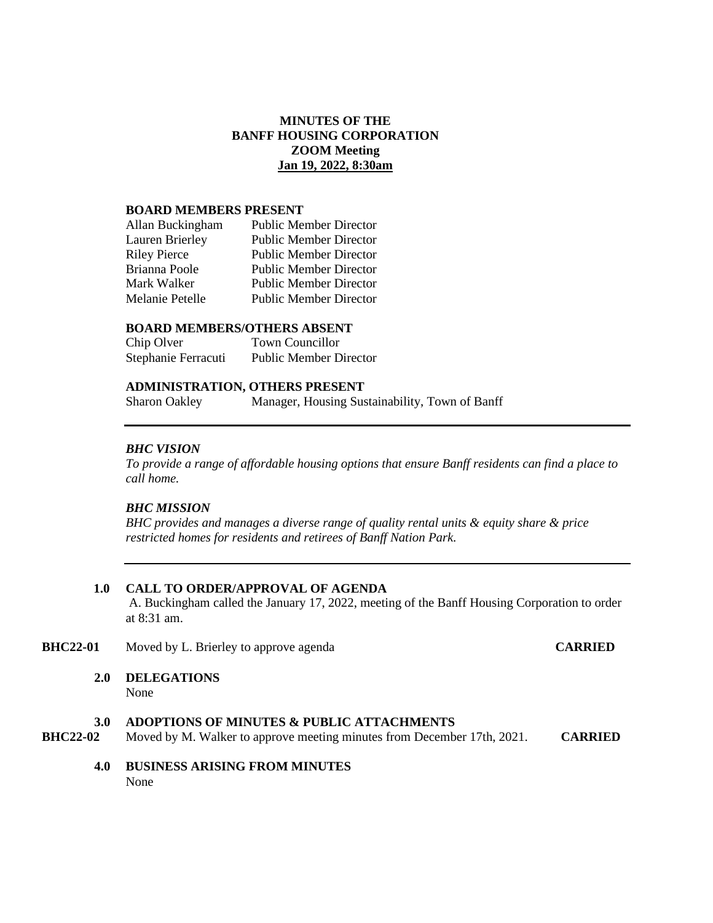# **MINUTES OF THE BANFF HOUSING CORPORATION ZOOM Meeting Jan 19, 2022, 8:30am**

#### **BOARD MEMBERS PRESENT**

| Allan Buckingham       | <b>Public Member Director</b> |
|------------------------|-------------------------------|
| <b>Lauren Brierley</b> | <b>Public Member Director</b> |
| <b>Riley Pierce</b>    | <b>Public Member Director</b> |
| Brianna Poole          | <b>Public Member Director</b> |
| Mark Walker            | <b>Public Member Director</b> |
| Melanie Petelle        | <b>Public Member Director</b> |

#### **BOARD MEMBERS/OTHERS ABSENT**

| Chip Olver          | <b>Town Councillor</b>        |
|---------------------|-------------------------------|
| Stephanie Ferracuti | <b>Public Member Director</b> |

## **ADMINISTRATION, OTHERS PRESENT**

Sharon Oakley Manager, Housing Sustainability, Town of Banff

#### *BHC VISION*

*To provide a range of affordable housing options that ensure Banff residents can find a place to call home.*

## *BHC MISSION*

*BHC provides and manages a diverse range of quality rental units & equity share & price restricted homes for residents and retirees of Banff Nation Park.*

#### **1.0 CALL TO ORDER/APPROVAL OF AGENDA**

A. Buckingham called the January 17, 2022, meeting of the Banff Housing Corporation to order at 8:31 am.

## **BHC22-01** Moved by L. Brierley to approve agenda **CARRIED**

**2.0 DELEGATIONS**

None

## **3.0 ADOPTIONS OF MINUTES & PUBLIC ATTACHMENTS**

- **BHC22-02** Moved by M. Walker to approve meeting minutes from December 17th, 2021. **CARRIED**
	- **4.0 BUSINESS ARISING FROM MINUTES** None when the contract of the contract of the contract of the contract of the contract of the contract of the contract of the contract of the contract of the contract of the contract of the contract of the contract of the